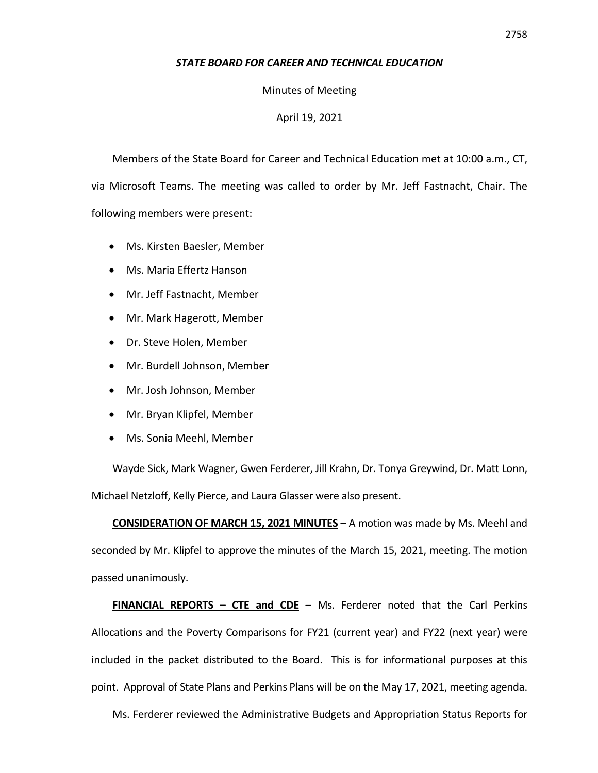## *STATE BOARD FOR CAREER AND TECHNICAL EDUCATION*

Minutes of Meeting

## April 19, 2021

Members of the State Board for Career and Technical Education met at 10:00 a.m., CT, via Microsoft Teams. The meeting was called to order by Mr. Jeff Fastnacht, Chair. The following members were present:

- Ms. Kirsten Baesler, Member
- Ms. Maria Effertz Hanson
- Mr. Jeff Fastnacht, Member
- Mr. Mark Hagerott, Member
- Dr. Steve Holen, Member
- Mr. Burdell Johnson, Member
- Mr. Josh Johnson, Member
- Mr. Bryan Klipfel, Member
- Ms. Sonia Meehl, Member

Wayde Sick, Mark Wagner, Gwen Ferderer, Jill Krahn, Dr. Tonya Greywind, Dr. Matt Lonn, Michael Netzloff, Kelly Pierce, and Laura Glasser were also present.

**CONSIDERATION OF MARCH 15, 2021 MINUTES** – A motion was made by Ms. Meehl and seconded by Mr. Klipfel to approve the minutes of the March 15, 2021, meeting. The motion passed unanimously.

**FINANCIAL REPORTS – CTE and CDE** – Ms. Ferderer noted that the Carl Perkins Allocations and the Poverty Comparisons for FY21 (current year) and FY22 (next year) were included in the packet distributed to the Board. This is for informational purposes at this point. Approval of State Plans and Perkins Plans will be on the May 17, 2021, meeting agenda.

Ms. Ferderer reviewed the Administrative Budgets and Appropriation Status Reports for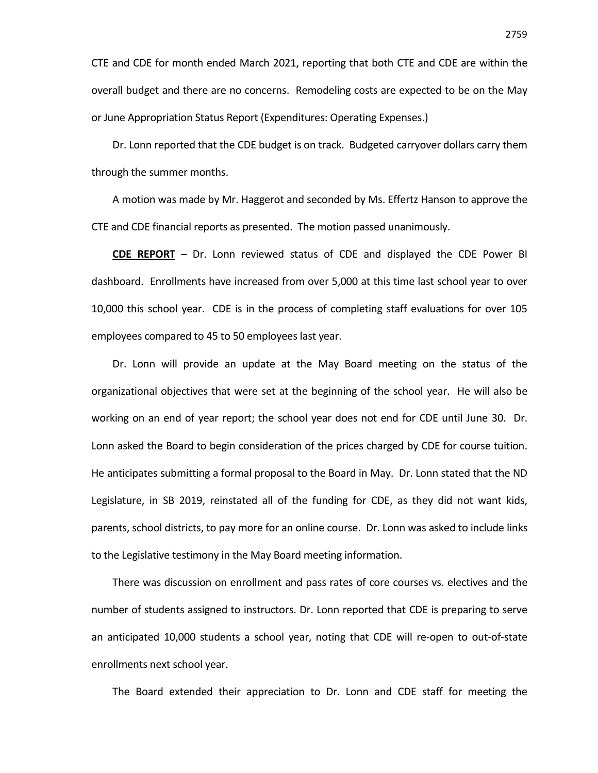CTE and CDE for month ended March 2021, reporting that both CTE and CDE are within the overall budget and there are no concerns. Remodeling costs are expected to be on the May or June Appropriation Status Report (Expenditures: Operating Expenses.)

Dr. Lonn reported that the CDE budget is on track. Budgeted carryover dollars carry them through the summer months.

A motion was made by Mr. Haggerot and seconded by Ms. Effertz Hanson to approve the CTE and CDE financial reports as presented. The motion passed unanimously.

**CDE REPORT** – Dr. Lonn reviewed status of CDE and displayed the CDE Power BI dashboard. Enrollments have increased from over 5,000 at this time last school year to over 10,000 this school year. CDE is in the process of completing staff evaluations for over 105 employees compared to 45 to 50 employees last year.

Dr. Lonn will provide an update at the May Board meeting on the status of the organizational objectives that were set at the beginning of the school year. He will also be working on an end of year report; the school year does not end for CDE until June 30. Dr. Lonn asked the Board to begin consideration of the prices charged by CDE for course tuition. He anticipates submitting a formal proposal to the Board in May. Dr. Lonn stated that the ND Legislature, in SB 2019, reinstated all of the funding for CDE, as they did not want kids, parents, school districts, to pay more for an online course. Dr. Lonn was asked to include links to the Legislative testimony in the May Board meeting information.

There was discussion on enrollment and pass rates of core courses vs. electives and the number of students assigned to instructors. Dr. Lonn reported that CDE is preparing to serve an anticipated 10,000 students a school year, noting that CDE will re-open to out-of-state enrollments next school year.

The Board extended their appreciation to Dr. Lonn and CDE staff for meeting the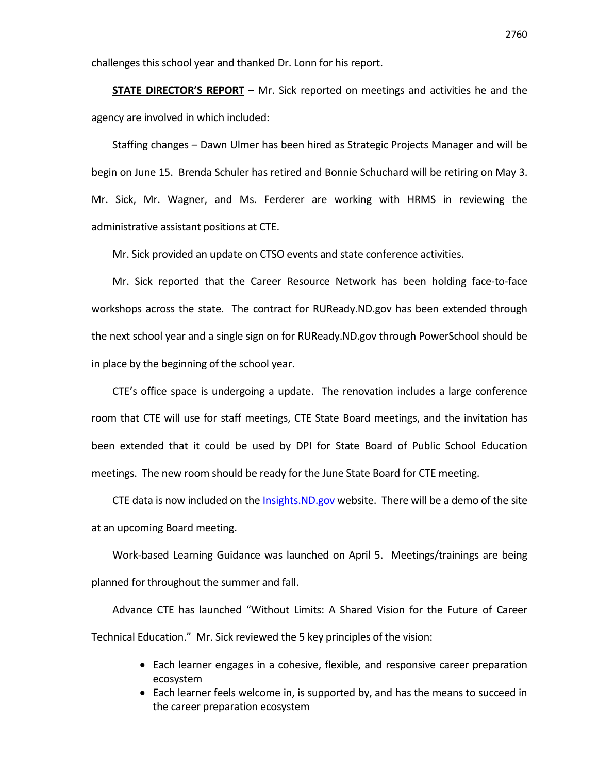challenges this school year and thanked Dr. Lonn for his report.

**STATE DIRECTOR'S REPORT** – Mr. Sick reported on meetings and activities he and the agency are involved in which included:

Staffing changes – Dawn Ulmer has been hired as Strategic Projects Manager and will be begin on June 15. Brenda Schuler has retired and Bonnie Schuchard will be retiring on May 3. Mr. Sick, Mr. Wagner, and Ms. Ferderer are working with HRMS in reviewing the administrative assistant positions at CTE.

Mr. Sick provided an update on CTSO events and state conference activities.

Mr. Sick reported that the Career Resource Network has been holding face-to-face workshops across the state. The contract for RUReady.ND.gov has been extended through the next school year and a single sign on for RUReady.ND.gov through PowerSchool should be in place by the beginning of the school year.

CTE's office space is undergoing a update. The renovation includes a large conference room that CTE will use for staff meetings, CTE State Board meetings, and the invitation has been extended that it could be used by DPI for State Board of Public School Education meetings. The new room should be ready for the June State Board for CTE meeting.

CTE data is now included on the [Insights.ND.gov](https://insights.nd.gov/) website. There will be a demo of the site at an upcoming Board meeting.

Work-based Learning Guidance was launched on April 5. Meetings/trainings are being planned for throughout the summer and fall.

Advance CTE has launched "Without Limits: A Shared Vision for the Future of Career Technical Education." Mr. Sick reviewed the 5 key principles of the vision:

- Each learner engages in a cohesive, flexible, and responsive career preparation ecosystem
- Each learner feels welcome in, is supported by, and has the means to succeed in the career preparation ecosystem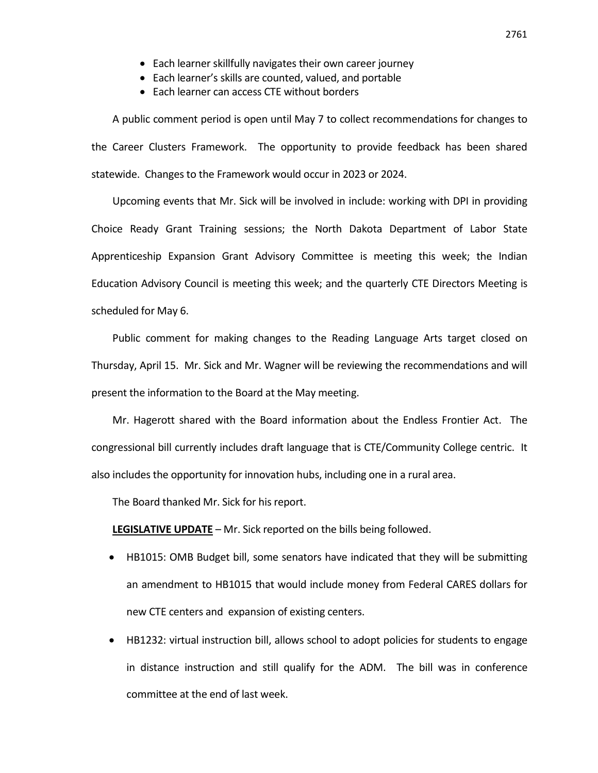- Each learner skillfully navigates their own career journey
- Each learner's skills are counted, valued, and portable
- Each learner can access CTE without borders

A public comment period is open until May 7 to collect recommendations for changes to the Career Clusters Framework. The opportunity to provide feedback has been shared statewide. Changes to the Framework would occur in 2023 or 2024.

Upcoming events that Mr. Sick will be involved in include: working with DPI in providing Choice Ready Grant Training sessions; the North Dakota Department of Labor State Apprenticeship Expansion Grant Advisory Committee is meeting this week; the Indian Education Advisory Council is meeting this week; and the quarterly CTE Directors Meeting is scheduled for May 6.

Public comment for making changes to the Reading Language Arts target closed on Thursday, April 15. Mr. Sick and Mr. Wagner will be reviewing the recommendations and will present the information to the Board at the May meeting.

Mr. Hagerott shared with the Board information about the Endless Frontier Act. The congressional bill currently includes draft language that is CTE/Community College centric. It also includes the opportunity for innovation hubs, including one in a rural area.

The Board thanked Mr. Sick for his report.

**LEGISLATIVE UPDATE** – Mr. Sick reported on the bills being followed.

- HB1015: OMB Budget bill, some senators have indicated that they will be submitting an amendment to HB1015 that would include money from Federal CARES dollars for new CTE centers and expansion of existing centers.
- HB1232: virtual instruction bill, allows school to adopt policies for students to engage in distance instruction and still qualify for the ADM. The bill was in conference committee at the end of last week.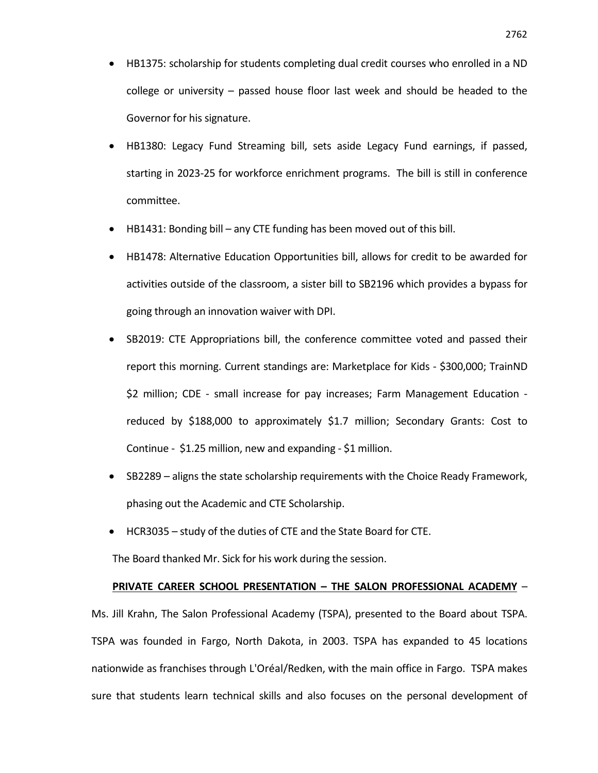- HB1375: scholarship for students completing dual credit courses who enrolled in a ND college or university – passed house floor last week and should be headed to the Governor for his signature.
- HB1380: Legacy Fund Streaming bill, sets aside Legacy Fund earnings, if passed, starting in 2023-25 for workforce enrichment programs. The bill is still in conference committee.
- HB1431: Bonding bill any CTE funding has been moved out of this bill.
- HB1478: Alternative Education Opportunities bill, allows for credit to be awarded for activities outside of the classroom, a sister bill to SB2196 which provides a bypass for going through an innovation waiver with DPI.
- SB2019: CTE Appropriations bill, the conference committee voted and passed their report this morning. Current standings are: Marketplace for Kids - \$300,000; TrainND \$2 million; CDE - small increase for pay increases; Farm Management Education reduced by \$188,000 to approximately \$1.7 million; Secondary Grants: Cost to Continue - \$1.25 million, new and expanding - \$1 million.
- SB2289 aligns the state scholarship requirements with the Choice Ready Framework, phasing out the Academic and CTE Scholarship.
- HCR3035 study of the duties of CTE and the State Board for CTE.

The Board thanked Mr. Sick for his work during the session.

### **PRIVATE CAREER SCHOOL PRESENTATION – THE SALON PROFESSIONAL ACADEMY** –

Ms. Jill Krahn, The Salon Professional Academy (TSPA), presented to the Board about TSPA. TSPA was founded in Fargo, North Dakota, in 2003. TSPA has expanded to 45 locations nationwide as franchises through L'Oréal/Redken, with the main office in Fargo. TSPA makes sure that students learn technical skills and also focuses on the personal development of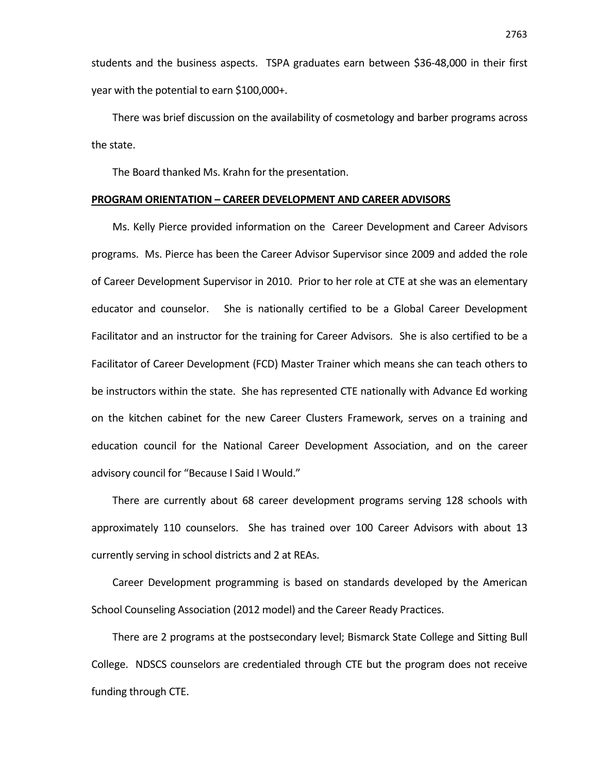students and the business aspects. TSPA graduates earn between \$36-48,000 in their first year with the potential to earn \$100,000+.

There was brief discussion on the availability of cosmetology and barber programs across the state.

The Board thanked Ms. Krahn for the presentation.

#### **PROGRAM ORIENTATION – CAREER DEVELOPMENT AND CAREER ADVISORS**

Ms. Kelly Pierce provided information on the Career Development and Career Advisors programs. Ms. Pierce has been the Career Advisor Supervisor since 2009 and added the role of Career Development Supervisor in 2010. Prior to her role at CTE at she was an elementary educator and counselor. She is nationally certified to be a Global Career Development Facilitator and an instructor for the training for Career Advisors. She is also certified to be a Facilitator of Career Development (FCD) Master Trainer which means she can teach others to be instructors within the state. She has represented CTE nationally with Advance Ed working on the kitchen cabinet for the new Career Clusters Framework, serves on a training and education council for the National Career Development Association, and on the career advisory council for "Because I Said I Would."

There are currently about 68 career development programs serving 128 schools with approximately 110 counselors. She has trained over 100 Career Advisors with about 13 currently serving in school districts and 2 at REAs.

Career Development programming is based on standards developed by the American School Counseling Association (2012 model) and the Career Ready Practices.

There are 2 programs at the postsecondary level; Bismarck State College and Sitting Bull College. NDSCS counselors are credentialed through CTE but the program does not receive funding through CTE.